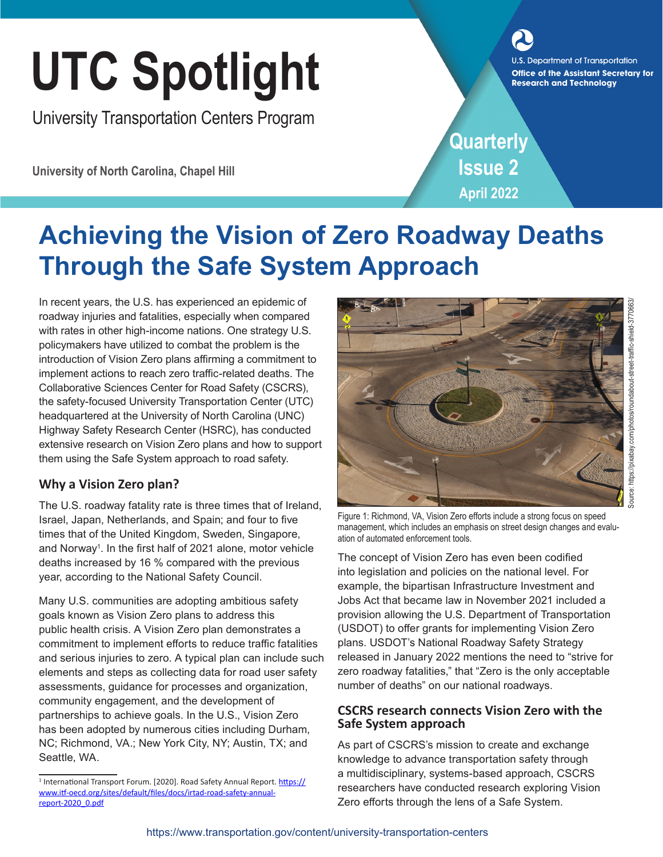# UTC Spotlight and Technology<br> **Office of the Assistant Secretary for**<br> **Research and Technology**

University Transportation Centers Program

**University of North Carolina, Chapel Hill**

**Quarterly Issue 2 April 2022**

## **Achieving the Vision of Zero Roadway Deaths Through the Safe System Approach**

In recent years, the U.S. has experienced an epidemic of roadway injuries and fatalities, especially when compared with rates in other high-income nations. One strategy U.S. policymakers have utilized to combat the problem is the introduction of Vision Zero plans affirming a commitment to implement actions to reach zero traffic-related deaths. The Collaborative Sciences Center for Road Safety (CSCRS), the safety-focused University Transportation Center (UTC) headquartered at the University of North Carolina (UNC) Highway Safety Research Center (HSRC), has conducted extensive research on Vision Zero plans and how to support them using the Safe System approach to road safety.

### **Why a Vision Zero plan?**

The U.S. roadway fatality rate is three times that of Ireland, Israel, Japan, Netherlands, and Spain; and four to five times that of the United Kingdom, Sweden, Singapore, and Norway<sup>1</sup>. In the first half of 2021 alone, motor vehicle deaths increased by 16 % compared with the previous year, according to the National Safety Council.

Many U.S. communities are adopting ambitious safety goals known as Vision Zero plans to address this public health crisis. A Vision Zero plan demonstrates a commitment to implement efforts to reduce traffic fatalities and serious injuries to zero. A typical plan can include such elements and steps as collecting data for road user safety assessments, guidance for processes and organization, community engagement, and the development of partnerships to achieve goals. In the U.S., Vision Zero has been adopted by numerous cities including Durham, NC; Richmond, VA.; New York City, NY; Austin, TX; and Seattle, WA.



Figure 1: Richmond, VA, Vision Zero efforts include a strong focus on speed management, which includes an emphasis on street design changes and evaluation of automated enforcement tools.

The concept of Vision Zero has even been codified into legislation and policies on the national level. For example, the bipartisan Infrastructure Investment and Jobs Act that became law in November 2021 included a provision allowing the U.S. Department of Transportation (USDOT) to offer grants for implementing Vision Zero plans. USDOT's National Roadway Safety Strategy released in January 2022 mentions the need to "strive for zero roadway fatalities," that "Zero is the only acceptable number of deaths" on our national roadways.

#### **CSCRS research connects Vision Zero with the Safe System approach**

As part of CSCRS's mission to create and exchange knowledge to advance transportation safety through a multidisciplinary, systems-based approach, CSCRS researchers have conducted research exploring Vision Zero efforts through the lens of a Safe System.

Source: https://pixabay.com/photos/roundabout-street-traffic-shield-3770663/

<sup>&</sup>lt;sup>1</sup> International Transport Forum. [2020]. Road Safety Annual Report. [https://](https://www.itf-oecd.org/sites/default/files/docs/irtad-road-safety-annual-report-2020_0.pdf) [www.itf-oecd.org/sites/default/files/docs/irtad-road-safety-annual](https://www.itf-oecd.org/sites/default/files/docs/irtad-road-safety-annual-report-2020_0.pdf)[report-2020\\_0.pdf](https://www.itf-oecd.org/sites/default/files/docs/irtad-road-safety-annual-report-2020_0.pdf)